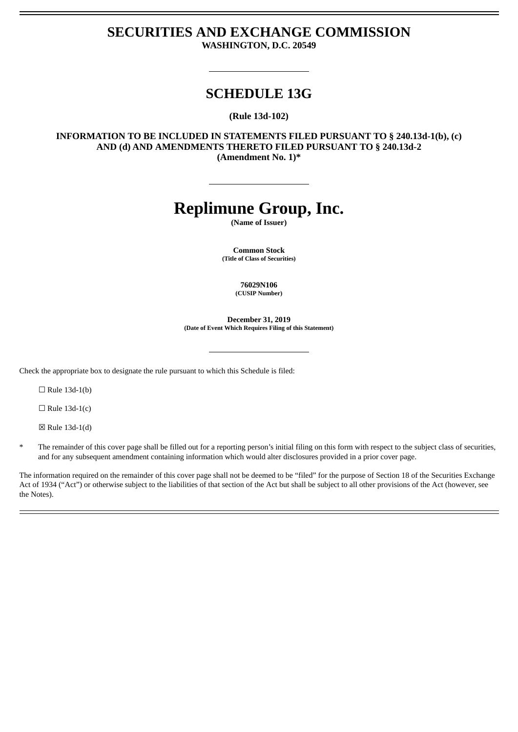## **SECURITIES AND EXCHANGE COMMISSION WASHINGTON, D.C. 20549**

# **SCHEDULE 13G**

**(Rule 13d-102)**

**INFORMATION TO BE INCLUDED IN STATEMENTS FILED PURSUANT TO § 240.13d-1(b), (c) AND (d) AND AMENDMENTS THERETO FILED PURSUANT TO § 240.13d-2 (Amendment No. 1)\***

# **Replimune Group, Inc.**

**(Name of Issuer)**

**Common Stock (Title of Class of Securities)**

> **76029N106 (CUSIP Number)**

**December 31, 2019 (Date of Event Which Requires Filing of this Statement)**

Check the appropriate box to designate the rule pursuant to which this Schedule is filed:

 $\Box$  Rule 13d-1(b)

 $\Box$  Rule 13d-1(c)

☒ Rule 13d-1(d)

The remainder of this cover page shall be filled out for a reporting person's initial filing on this form with respect to the subject class of securities, and for any subsequent amendment containing information which would alter disclosures provided in a prior cover page.

The information required on the remainder of this cover page shall not be deemed to be "filed" for the purpose of Section 18 of the Securities Exchange Act of 1934 ("Act") or otherwise subject to the liabilities of that section of the Act but shall be subject to all other provisions of the Act (however, see the Notes).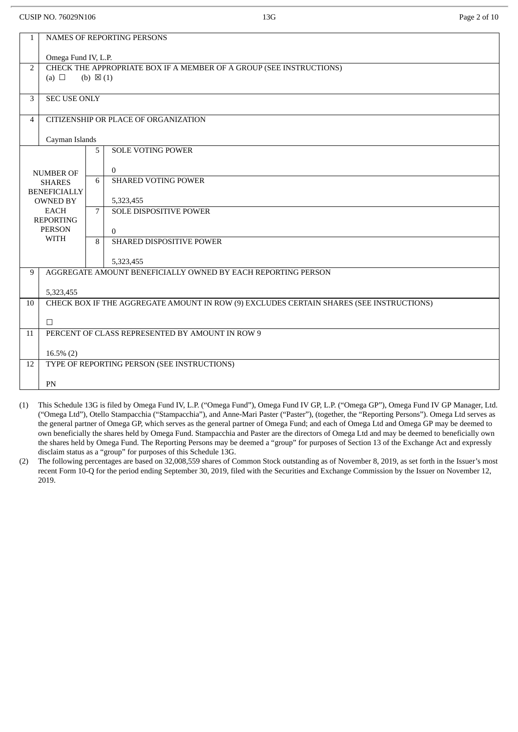#### CUSIP NO. 76029N106 2 0 13G Page 2 of 10

|                  | NAMES OF REPORTING PERSONS<br>$\mathbf{1}$      |                     |                                                                                         |  |  |  |  |
|------------------|-------------------------------------------------|---------------------|-----------------------------------------------------------------------------------------|--|--|--|--|
|                  | Omega Fund IV, L.P.                             |                     |                                                                                         |  |  |  |  |
| $\overline{2}$   |                                                 |                     | CHECK THE APPROPRIATE BOX IF A MEMBER OF A GROUP (SEE INSTRUCTIONS)                     |  |  |  |  |
|                  | (a) $\Box$                                      | (b) $\boxtimes$ (1) |                                                                                         |  |  |  |  |
|                  |                                                 |                     |                                                                                         |  |  |  |  |
| 3                | <b>SEC USE ONLY</b>                             |                     |                                                                                         |  |  |  |  |
|                  |                                                 |                     |                                                                                         |  |  |  |  |
| $\overline{4}$   |                                                 |                     | CITIZENSHIP OR PLACE OF ORGANIZATION                                                    |  |  |  |  |
|                  |                                                 |                     |                                                                                         |  |  |  |  |
|                  | Cayman Islands                                  |                     |                                                                                         |  |  |  |  |
|                  |                                                 | 5                   | <b>SOLE VOTING POWER</b>                                                                |  |  |  |  |
|                  |                                                 |                     | $\overline{0}$                                                                          |  |  |  |  |
|                  | <b>NUMBER OF</b>                                | 6                   | <b>SHARED VOTING POWER</b>                                                              |  |  |  |  |
|                  | <b>SHARES</b><br><b>BENEFICIALLY</b>            |                     |                                                                                         |  |  |  |  |
|                  | <b>OWNED BY</b>                                 |                     | 5,323,455                                                                               |  |  |  |  |
|                  | <b>EACH</b>                                     | $\overline{7}$      | <b>SOLE DISPOSITIVE POWER</b>                                                           |  |  |  |  |
| <b>REPORTING</b> |                                                 |                     |                                                                                         |  |  |  |  |
| <b>PERSON</b>    |                                                 |                     | $\overline{0}$                                                                          |  |  |  |  |
|                  | <b>WITH</b>                                     | 8                   | SHARED DISPOSITIVE POWER                                                                |  |  |  |  |
|                  |                                                 |                     |                                                                                         |  |  |  |  |
|                  |                                                 |                     | 5,323,455                                                                               |  |  |  |  |
| 9                |                                                 |                     | AGGREGATE AMOUNT BENEFICIALLY OWNED BY EACH REPORTING PERSON                            |  |  |  |  |
|                  | 5,323,455                                       |                     |                                                                                         |  |  |  |  |
| 10               |                                                 |                     | CHECK BOX IF THE AGGREGATE AMOUNT IN ROW (9) EXCLUDES CERTAIN SHARES (SEE INSTRUCTIONS) |  |  |  |  |
|                  |                                                 |                     |                                                                                         |  |  |  |  |
|                  | $\Box$                                          |                     |                                                                                         |  |  |  |  |
| 11               | PERCENT OF CLASS REPRESENTED BY AMOUNT IN ROW 9 |                     |                                                                                         |  |  |  |  |
|                  |                                                 |                     |                                                                                         |  |  |  |  |
|                  | $16.5\%$ (2)                                    |                     |                                                                                         |  |  |  |  |
| 12               |                                                 |                     | TYPE OF REPORTING PERSON (SEE INSTRUCTIONS)                                             |  |  |  |  |
|                  |                                                 |                     |                                                                                         |  |  |  |  |
|                  | PN                                              |                     |                                                                                         |  |  |  |  |
|                  |                                                 |                     |                                                                                         |  |  |  |  |

- (1) This Schedule 13G is filed by Omega Fund IV, L.P. ("Omega Fund"), Omega Fund IV GP, L.P. ("Omega GP"), Omega Fund IV GP Manager, Ltd. ("Omega Ltd"), Otello Stampacchia ("Stampacchia"), and Anne-Mari Paster ("Paster"), (together, the "Reporting Persons"). Omega Ltd serves as the general partner of Omega GP, which serves as the general partner of Omega Fund; and each of Omega Ltd and Omega GP may be deemed to own beneficially the shares held by Omega Fund. Stampacchia and Paster are the directors of Omega Ltd and may be deemed to beneficially own the shares held by Omega Fund. The Reporting Persons may be deemed a "group" for purposes of Section 13 of the Exchange Act and expressly disclaim status as a "group" for purposes of this Schedule 13G.
- (2) The following percentages are based on 32,008,559 shares of Common Stock outstanding as of November 8, 2019, as set forth in the Issuer's most recent Form 10-Q for the period ending September 30, 2019, filed with the Securities and Exchange Commission by the Issuer on November 12, 2019.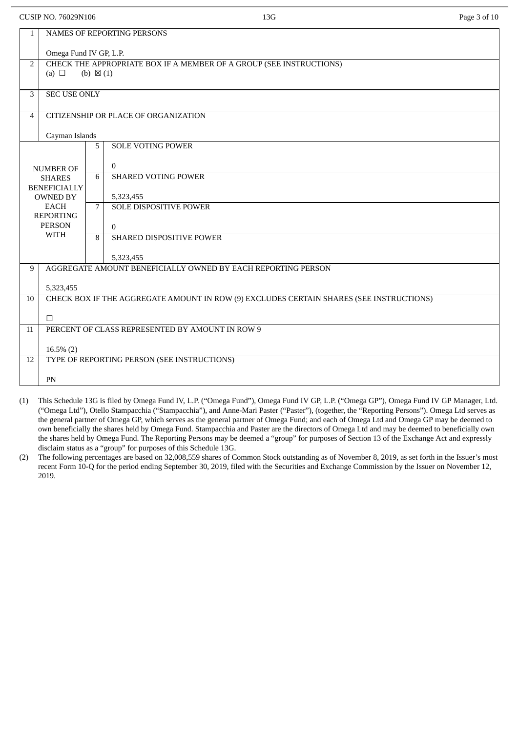$C[1]$ SIP NO. 76029N106  $P_{200}$  3 of 10

|                     | COSH 110.7002311100                                                                     | .                                                                                                                            | Tuge ou to |  |  |  |
|---------------------|-----------------------------------------------------------------------------------------|------------------------------------------------------------------------------------------------------------------------------|------------|--|--|--|
| $\mathbf{1}$        |                                                                                         | NAMES OF REPORTING PERSONS                                                                                                   |            |  |  |  |
|                     | Omega Fund IV GP, L.P.                                                                  |                                                                                                                              |            |  |  |  |
| $\overline{2}$      |                                                                                         | CHECK THE APPROPRIATE BOX IF A MEMBER OF A GROUP (SEE INSTRUCTIONS)                                                          |            |  |  |  |
|                     | (a) $\Box$                                                                              | (b) $\boxtimes$ (1)                                                                                                          |            |  |  |  |
| 3                   | <b>SEC USE ONLY</b>                                                                     |                                                                                                                              |            |  |  |  |
| $\overline{4}$      |                                                                                         | CITIZENSHIP OR PLACE OF ORGANIZATION                                                                                         |            |  |  |  |
|                     | Cayman Islands                                                                          |                                                                                                                              |            |  |  |  |
|                     |                                                                                         | <b>SOLE VOTING POWER</b><br>5                                                                                                |            |  |  |  |
|                     |                                                                                         | $\overline{0}$                                                                                                               |            |  |  |  |
|                     | <b>NUMBER OF</b><br><b>SHARES</b>                                                       | <b>SHARED VOTING POWER</b><br>6                                                                                              |            |  |  |  |
| <b>BENEFICIALLY</b> |                                                                                         |                                                                                                                              |            |  |  |  |
|                     | <b>OWNED BY</b><br><b>EACH</b>                                                          | 5,323,455<br>SOLE DISPOSITIVE POWER<br>$\overline{7}$                                                                        |            |  |  |  |
| <b>REPORTING</b>    |                                                                                         |                                                                                                                              |            |  |  |  |
|                     | <b>PERSON</b><br>$\Omega$                                                               |                                                                                                                              |            |  |  |  |
|                     | <b>WITH</b><br>SHARED DISPOSITIVE POWER<br>8                                            |                                                                                                                              |            |  |  |  |
|                     |                                                                                         | 5,323,455                                                                                                                    |            |  |  |  |
| 9                   |                                                                                         | AGGREGATE AMOUNT BENEFICIALLY OWNED BY EACH REPORTING PERSON                                                                 |            |  |  |  |
|                     | 5,323,455                                                                               |                                                                                                                              |            |  |  |  |
| 10                  | CHECK BOX IF THE AGGREGATE AMOUNT IN ROW (9) EXCLUDES CERTAIN SHARES (SEE INSTRUCTIONS) |                                                                                                                              |            |  |  |  |
|                     | $\Box$                                                                                  |                                                                                                                              |            |  |  |  |
| 11                  | PERCENT OF CLASS REPRESENTED BY AMOUNT IN ROW 9                                         |                                                                                                                              |            |  |  |  |
|                     |                                                                                         |                                                                                                                              |            |  |  |  |
| 12                  | $16.5\%$ (2)                                                                            | TYPE OF REPORTING PERSON (SEE INSTRUCTIONS)                                                                                  |            |  |  |  |
|                     |                                                                                         |                                                                                                                              |            |  |  |  |
|                     | PN                                                                                      |                                                                                                                              |            |  |  |  |
|                     |                                                                                         | $T = 1 T T T T R U Q$<br>$T = 1 T T C D T D W C$<br>11.4001.011.0<br>$\mathbf{r}$ $\mathbf{m}$ $\mathbf{a}$<br>$\sim$ $\sim$ |            |  |  |  |

- (1) This Schedule 13G is filed by Omega Fund IV, L.P. ("Omega Fund"), Omega Fund IV GP, L.P. ("Omega GP"), Omega Fund IV GP Manager, Ltd. ("Omega Ltd"), Otello Stampacchia ("Stampacchia"), and Anne-Mari Paster ("Paster"), (together, the "Reporting Persons"). Omega Ltd serves as the general partner of Omega GP, which serves as the general partner of Omega Fund; and each of Omega Ltd and Omega GP may be deemed to own beneficially the shares held by Omega Fund. Stampacchia and Paster are the directors of Omega Ltd and may be deemed to beneficially own the shares held by Omega Fund. The Reporting Persons may be deemed a "group" for purposes of Section 13 of the Exchange Act and expressly disclaim status as a "group" for purposes of this Schedule 13G.
- (2) The following percentages are based on 32,008,559 shares of Common Stock outstanding as of November 8, 2019, as set forth in the Issuer's most recent Form 10-Q for the period ending September 30, 2019, filed with the Securities and Exchange Commission by the Issuer on November 12, 2019.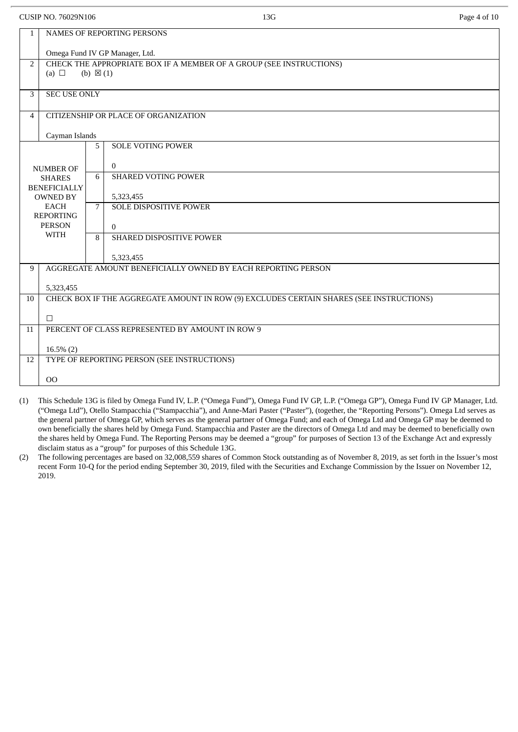| <b>CUSIP NO. 76029N106</b> | 13G | Page 4 of 10 |
|----------------------------|-----|--------------|
|                            |     |              |

| $\mathbf{1}$                    | <b>NAMES OF REPORTING PERSONS</b>                                                       |                     |                                                                                                                                   |  |  |  |  |
|---------------------------------|-----------------------------------------------------------------------------------------|---------------------|-----------------------------------------------------------------------------------------------------------------------------------|--|--|--|--|
|                                 | Omega Fund IV GP Manager, Ltd.                                                          |                     |                                                                                                                                   |  |  |  |  |
| $\overline{2}$                  |                                                                                         |                     | CHECK THE APPROPRIATE BOX IF A MEMBER OF A GROUP (SEE INSTRUCTIONS)                                                               |  |  |  |  |
|                                 | (a) $\Box$                                                                              | (b) $\boxtimes$ (1) |                                                                                                                                   |  |  |  |  |
| 3                               | <b>SEC USE ONLY</b>                                                                     |                     |                                                                                                                                   |  |  |  |  |
|                                 |                                                                                         |                     |                                                                                                                                   |  |  |  |  |
| 4                               |                                                                                         |                     | CITIZENSHIP OR PLACE OF ORGANIZATION                                                                                              |  |  |  |  |
|                                 | Cayman Islands                                                                          |                     |                                                                                                                                   |  |  |  |  |
|                                 |                                                                                         | 5                   | <b>SOLE VOTING POWER</b>                                                                                                          |  |  |  |  |
|                                 |                                                                                         |                     | $\overline{0}$                                                                                                                    |  |  |  |  |
|                                 | <b>NUMBER OF</b><br><b>SHARES</b>                                                       | 6                   | <b>SHARED VOTING POWER</b>                                                                                                        |  |  |  |  |
|                                 | <b>BENEFICIALLY</b>                                                                     |                     |                                                                                                                                   |  |  |  |  |
| <b>OWNED BY</b>                 |                                                                                         |                     | 5,323,455                                                                                                                         |  |  |  |  |
| <b>EACH</b><br><b>REPORTING</b> |                                                                                         | 7                   | <b>SOLE DISPOSITIVE POWER</b>                                                                                                     |  |  |  |  |
| <b>PERSON</b>                   |                                                                                         |                     | $\Omega$                                                                                                                          |  |  |  |  |
| <b>WITH</b>                     |                                                                                         | 8                   | SHARED DISPOSITIVE POWER                                                                                                          |  |  |  |  |
|                                 |                                                                                         |                     |                                                                                                                                   |  |  |  |  |
| 9                               |                                                                                         |                     | 5,323,455<br>AGGREGATE AMOUNT BENEFICIALLY OWNED BY EACH REPORTING PERSON                                                         |  |  |  |  |
|                                 |                                                                                         |                     |                                                                                                                                   |  |  |  |  |
|                                 | 5,323,455                                                                               |                     |                                                                                                                                   |  |  |  |  |
| 10                              | CHECK BOX IF THE AGGREGATE AMOUNT IN ROW (9) EXCLUDES CERTAIN SHARES (SEE INSTRUCTIONS) |                     |                                                                                                                                   |  |  |  |  |
|                                 | $\Box$                                                                                  |                     |                                                                                                                                   |  |  |  |  |
| 11                              | PERCENT OF CLASS REPRESENTED BY AMOUNT IN ROW 9                                         |                     |                                                                                                                                   |  |  |  |  |
|                                 |                                                                                         |                     |                                                                                                                                   |  |  |  |  |
|                                 | $16.5\%$ (2)                                                                            |                     |                                                                                                                                   |  |  |  |  |
| 12                              |                                                                                         |                     | TYPE OF REPORTING PERSON (SEE INSTRUCTIONS)                                                                                       |  |  |  |  |
|                                 | 00                                                                                      |                     |                                                                                                                                   |  |  |  |  |
|                                 |                                                                                         |                     | (1) This Cabadule 12C is filed by Omege Eund IV LD ("Omege Eund"), Omege Eund IV CD LD ("Omege CD"), Omege Eund IV CD Menagew Ltd |  |  |  |  |

- (1) This Schedule 13G is filed by Omega Fund IV, L.P. ("Omega Fund"), Omega Fund IV GP, L.P. ("Omega GP"), Omega Fund IV GP Manager, Ltd. ("Omega Ltd"), Otello Stampacchia ("Stampacchia"), and Anne-Mari Paster ("Paster"), (together, the "Reporting Persons"). Omega Ltd serves as the general partner of Omega GP, which serves as the general partner of Omega Fund; and each of Omega Ltd and Omega GP may be deemed to own beneficially the shares held by Omega Fund. Stampacchia and Paster are the directors of Omega Ltd and may be deemed to beneficially own the shares held by Omega Fund. The Reporting Persons may be deemed a "group" for purposes of Section 13 of the Exchange Act and expressly disclaim status as a "group" for purposes of this Schedule 13G.
- (2) The following percentages are based on 32,008,559 shares of Common Stock outstanding as of November 8, 2019, as set forth in the Issuer's most recent Form 10-Q for the period ending September 30, 2019, filed with the Securities and Exchange Commission by the Issuer on November 12, 2019.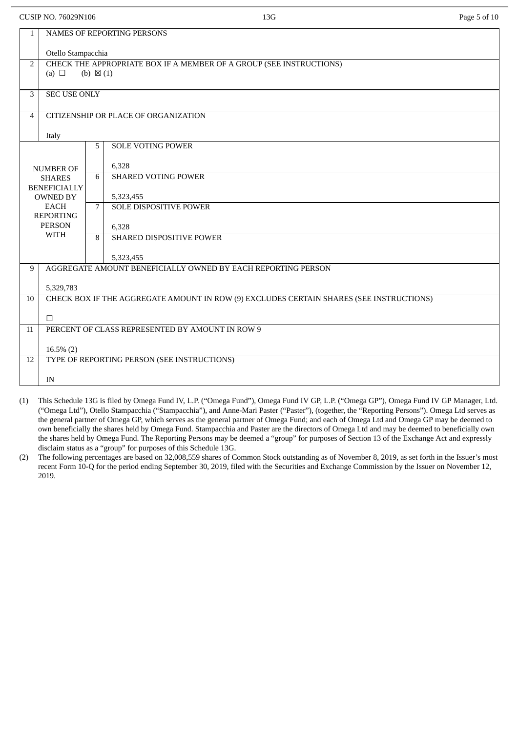| CUSIP NO. 76029N106 |                                                                                         |                     | 13G                                                                 | Page 5 of 10 |  |  |  |
|---------------------|-----------------------------------------------------------------------------------------|---------------------|---------------------------------------------------------------------|--------------|--|--|--|
| $\mathbf{1}$        | NAMES OF REPORTING PERSONS                                                              |                     |                                                                     |              |  |  |  |
|                     | Otello Stampacchia                                                                      |                     |                                                                     |              |  |  |  |
| $\overline{2}$      | (a) $\Box$                                                                              | (b) $\boxtimes$ (1) | CHECK THE APPROPRIATE BOX IF A MEMBER OF A GROUP (SEE INSTRUCTIONS) |              |  |  |  |
| 3                   | <b>SEC USE ONLY</b>                                                                     |                     |                                                                     |              |  |  |  |
| 4                   |                                                                                         |                     | CITIZENSHIP OR PLACE OF ORGANIZATION                                |              |  |  |  |
|                     | Italy                                                                                   |                     |                                                                     |              |  |  |  |
|                     |                                                                                         | 5                   | <b>SOLE VOTING POWER</b>                                            |              |  |  |  |
|                     | <b>NUMBER OF</b>                                                                        |                     | 6,328                                                               |              |  |  |  |
|                     | <b>SHARES</b>                                                                           | 6                   | <b>SHARED VOTING POWER</b>                                          |              |  |  |  |
|                     | <b>BENEFICIALLY</b><br><b>OWNED BY</b>                                                  |                     | 5,323,455                                                           |              |  |  |  |
|                     | <b>EACH</b>                                                                             | $\overline{7}$      | <b>SOLE DISPOSITIVE POWER</b>                                       |              |  |  |  |
| <b>REPORTING</b>    |                                                                                         |                     |                                                                     |              |  |  |  |
|                     | <b>PERSON</b><br><b>WITH</b>                                                            |                     | 6,328<br>SHARED DISPOSITIVE POWER                                   |              |  |  |  |
|                     |                                                                                         | 8                   |                                                                     |              |  |  |  |
|                     |                                                                                         |                     | 5,323,455                                                           |              |  |  |  |
| 9                   |                                                                                         |                     | AGGREGATE AMOUNT BENEFICIALLY OWNED BY EACH REPORTING PERSON        |              |  |  |  |
|                     | 5,329,783                                                                               |                     |                                                                     |              |  |  |  |
| 10                  | CHECK BOX IF THE AGGREGATE AMOUNT IN ROW (9) EXCLUDES CERTAIN SHARES (SEE INSTRUCTIONS) |                     |                                                                     |              |  |  |  |
|                     |                                                                                         |                     |                                                                     |              |  |  |  |
|                     | $\Box$                                                                                  |                     |                                                                     |              |  |  |  |
| 11                  | PERCENT OF CLASS REPRESENTED BY AMOUNT IN ROW 9                                         |                     |                                                                     |              |  |  |  |
|                     | $16.5\%$ (2)                                                                            |                     |                                                                     |              |  |  |  |
| 12                  |                                                                                         |                     | TYPE OF REPORTING PERSON (SEE INSTRUCTIONS)                         |              |  |  |  |
|                     |                                                                                         |                     |                                                                     |              |  |  |  |
|                     |                                                                                         |                     |                                                                     |              |  |  |  |
|                     | $\ensuremath{\text{IN}}$                                                                |                     |                                                                     |              |  |  |  |

- (1) This Schedule 13G is filed by Omega Fund IV, L.P. ("Omega Fund"), Omega Fund IV GP, L.P. ("Omega GP"), Omega Fund IV GP Manager, Ltd. ("Omega Ltd"), Otello Stampacchia ("Stampacchia"), and Anne-Mari Paster ("Paster"), (together, the "Reporting Persons"). Omega Ltd serves as the general partner of Omega GP, which serves as the general partner of Omega Fund; and each of Omega Ltd and Omega GP may be deemed to own beneficially the shares held by Omega Fund. Stampacchia and Paster are the directors of Omega Ltd and may be deemed to beneficially own the shares held by Omega Fund. The Reporting Persons may be deemed a "group" for purposes of Section 13 of the Exchange Act and expressly disclaim status as a "group" for purposes of this Schedule 13G.
- (2) The following percentages are based on 32,008,559 shares of Common Stock outstanding as of November 8, 2019, as set forth in the Issuer's most recent Form 10-Q for the period ending September 30, 2019, filed with the Securities and Exchange Commission by the Issuer on November 12, 2019.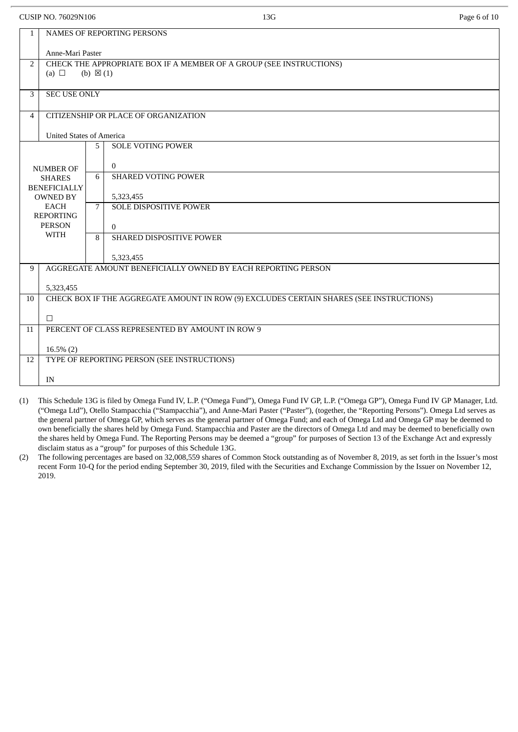| CUSIP NO. 76029N106                    |                                                                                                          |             | 13G                                                                       | Page 6 of 10 |  |  |  |
|----------------------------------------|----------------------------------------------------------------------------------------------------------|-------------|---------------------------------------------------------------------------|--------------|--|--|--|
| 1                                      | NAMES OF REPORTING PERSONS                                                                               |             |                                                                           |              |  |  |  |
|                                        | Anne-Mari Paster                                                                                         |             |                                                                           |              |  |  |  |
| 2                                      | CHECK THE APPROPRIATE BOX IF A MEMBER OF A GROUP (SEE INSTRUCTIONS)<br>(a) $\Box$<br>(b) $\boxtimes$ (1) |             |                                                                           |              |  |  |  |
| 3                                      | <b>SEC USE ONLY</b>                                                                                      |             |                                                                           |              |  |  |  |
| 4                                      |                                                                                                          |             | CITIZENSHIP OR PLACE OF ORGANIZATION                                      |              |  |  |  |
|                                        | <b>United States of America</b>                                                                          |             |                                                                           |              |  |  |  |
|                                        |                                                                                                          | 5           | <b>SOLE VOTING POWER</b>                                                  |              |  |  |  |
|                                        | <b>NUMBER OF</b>                                                                                         |             | $\overline{0}$                                                            |              |  |  |  |
|                                        | <b>SHARES</b>                                                                                            | 6           | <b>SHARED VOTING POWER</b>                                                |              |  |  |  |
| <b>BENEFICIALLY</b><br><b>OWNED BY</b> |                                                                                                          |             | 5,323,455                                                                 |              |  |  |  |
|                                        | <b>EACH</b><br><b>REPORTING</b>                                                                          | $7^{\circ}$ | <b>SOLE DISPOSITIVE POWER</b>                                             |              |  |  |  |
|                                        | <b>PERSON</b>                                                                                            |             | $\Omega$                                                                  |              |  |  |  |
|                                        | <b>WITH</b>                                                                                              | 8           | SHARED DISPOSITIVE POWER                                                  |              |  |  |  |
|                                        |                                                                                                          |             |                                                                           |              |  |  |  |
| 9                                      |                                                                                                          |             | 5,323,455<br>AGGREGATE AMOUNT BENEFICIALLY OWNED BY EACH REPORTING PERSON |              |  |  |  |
|                                        |                                                                                                          |             |                                                                           |              |  |  |  |
|                                        | 5,323,455                                                                                                |             |                                                                           |              |  |  |  |
| 10                                     | CHECK BOX IF THE AGGREGATE AMOUNT IN ROW (9) EXCLUDES CERTAIN SHARES (SEE INSTRUCTIONS)                  |             |                                                                           |              |  |  |  |
|                                        | $\Box$                                                                                                   |             |                                                                           |              |  |  |  |
| 11                                     | PERCENT OF CLASS REPRESENTED BY AMOUNT IN ROW 9                                                          |             |                                                                           |              |  |  |  |
|                                        | $16.5\%$ (2)                                                                                             |             |                                                                           |              |  |  |  |
| 12                                     |                                                                                                          |             | TYPE OF REPORTING PERSON (SEE INSTRUCTIONS)                               |              |  |  |  |
|                                        | IN                                                                                                       |             |                                                                           |              |  |  |  |
|                                        |                                                                                                          |             |                                                                           |              |  |  |  |

- (1) This Schedule 13G is filed by Omega Fund IV, L.P. ("Omega Fund"), Omega Fund IV GP, L.P. ("Omega GP"), Omega Fund IV GP Manager, Ltd. ("Omega Ltd"), Otello Stampacchia ("Stampacchia"), and Anne-Mari Paster ("Paster"), (together, the "Reporting Persons"). Omega Ltd serves as the general partner of Omega GP, which serves as the general partner of Omega Fund; and each of Omega Ltd and Omega GP may be deemed to own beneficially the shares held by Omega Fund. Stampacchia and Paster are the directors of Omega Ltd and may be deemed to beneficially own the shares held by Omega Fund. The Reporting Persons may be deemed a "group" for purposes of Section 13 of the Exchange Act and expressly disclaim status as a "group" for purposes of this Schedule 13G.
- (2) The following percentages are based on 32,008,559 shares of Common Stock outstanding as of November 8, 2019, as set forth in the Issuer's most recent Form 10-Q for the period ending September 30, 2019, filed with the Securities and Exchange Commission by the Issuer on November 12, 2019.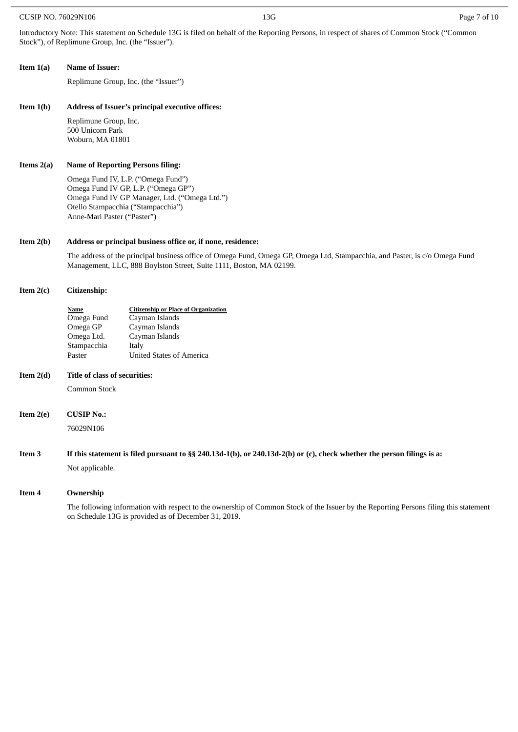#### CUSIP NO. 76029N106 Page 7 of 10

Introductory Note: This statement on Schedule 13G is filed on behalf of the Reporting Persons, in respect of shares of Common Stock ("Common Stock"), of Replimune Group, Inc. (the "Issuer").

#### **Item 1(a) Name of Issuer:**

Replimune Group, Inc. (the "Issuer")

#### **Item 1(b) Address of Issuer's principal executive offices:**

Replimune Group, Inc. 500 Unicorn Park Woburn, MA 01801

#### **Items 2(a) Name of Reporting Persons filing:**

Omega Fund IV, L.P. ("Omega Fund") Omega Fund IV GP, L.P. ("Omega GP") Omega Fund IV GP Manager, Ltd. ("Omega Ltd.") Otello Stampacchia ("Stampacchia") Anne-Mari Paster ("Paster")

#### **Item 2(b) Address or principal business office or, if none, residence:**

The address of the principal business office of Omega Fund, Omega GP, Omega Ltd, Stampacchia, and Paster, is c/o Omega Fund Management, LLC, 888 Boylston Street, Suite 1111, Boston, MA 02199.

#### **Item 2(c) Citizenship:**

| Name        | <b>Citizenship or Place of Organization</b> |
|-------------|---------------------------------------------|
| Omega Fund  | Cayman Islands                              |
| Omega GP    | Cayman Islands                              |
| Omega Ltd.  | Cayman Islands                              |
| Stampacchia | Italy                                       |
| Paster      | <b>United States of America</b>             |
|             |                                             |

#### **Item 2(d) Title of class of securities:**

Common Stock

**Item 2(e) CUSIP No.:** 76029N106

### If this statement is filed pursuant to §§ 240.13d-1(b), or 240.13d-2(b) or (c), check whether the person filings is a:

Not applicable.

#### **Item 4 Ownership**

The following information with respect to the ownership of Common Stock of the Issuer by the Reporting Persons filing this statement on Schedule 13G is provided as of December 31, 2019.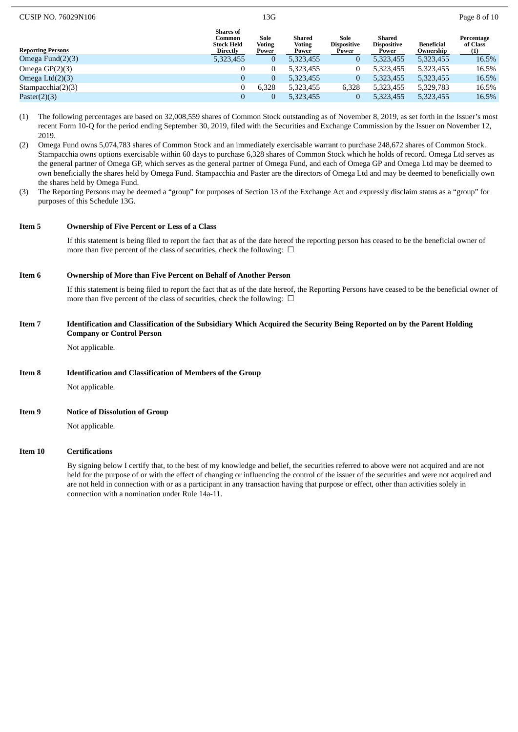| CUSIP NO. 76029N106      |                                                             | 13G                            |                                  |                                     |                                       |                                | Page 8 of 10                  |  |
|--------------------------|-------------------------------------------------------------|--------------------------------|----------------------------------|-------------------------------------|---------------------------------------|--------------------------------|-------------------------------|--|
| <b>Reporting Persons</b> | <b>Shares of</b><br>Common<br><b>Stock Held</b><br>Directly | Sole<br><b>Voting</b><br>Power | Shared<br><b>Voting</b><br>Power | Sole<br><b>Dispositive</b><br>Power | Shared<br><b>Dispositive</b><br>Power | <b>Beneficial</b><br>Ownership | Percentage<br>of Class<br>(1) |  |
| Omega Fund $(2)(3)$      | 5,323,455                                                   | 0                              | 5,323,455                        | O                                   | 5,323,455                             | 5,323,455                      | 16.5%                         |  |
| Omega $GP(2)(3)$         | $\mathbf{0}$                                                |                                | 5,323,455                        |                                     | 5,323,455                             | 5,323,455                      | 16.5%                         |  |
| Omega Ltd(2)(3)          | $\overline{0}$                                              | 0                              | 5,323,455                        | 0                                   | 5,323,455                             | 5,323,455                      | 16.5%                         |  |
| Stampacchia $(2)(3)$     |                                                             | 6,328                          | 5,323,455                        | 6,328                               | 5,323,455                             | 5,329,783                      | 16.5%                         |  |
| Paster(2)(3)             | $\mathbf{0}$                                                | 0                              | 5,323,455                        | 0                                   | 5,323,455                             | 5,323,455                      | 16.5%                         |  |

- (1) The following percentages are based on 32,008,559 shares of Common Stock outstanding as of November 8, 2019, as set forth in the Issuer's most recent Form 10-Q for the period ending September 30, 2019, filed with the Securities and Exchange Commission by the Issuer on November 12, 2019.
- (2) Omega Fund owns 5,074,783 shares of Common Stock and an immediately exercisable warrant to purchase 248,672 shares of Common Stock. Stampacchia owns options exercisable within 60 days to purchase 6,328 shares of Common Stock which he holds of record. Omega Ltd serves as the general partner of Omega GP, which serves as the general partner of Omega Fund, and each of Omega GP and Omega Ltd may be deemed to own beneficially the shares held by Omega Fund. Stampacchia and Paster are the directors of Omega Ltd and may be deemed to beneficially own the shares held by Omega Fund.
- (3) The Reporting Persons may be deemed a "group" for purposes of Section 13 of the Exchange Act and expressly disclaim status as a "group" for purposes of this Schedule 13G.

#### **Item 5 Ownership of Five Percent or Less of a Class**

If this statement is being filed to report the fact that as of the date hereof the reporting person has ceased to be the beneficial owner of more than five percent of the class of securities, check the following:  $\Box$ 

#### **Item 6 Ownership of More than Five Percent on Behalf of Another Person**

If this statement is being filed to report the fact that as of the date hereof, the Reporting Persons have ceased to be the beneficial owner of more than five percent of the class of securities, check the following:  $\Box$ 

#### Item 7 Identification and Classification of the Subsidiary Which Acquired the Security Being Reported on by the Parent Holding **Company or Control Person**

Not applicable.

#### **Item 8 Identification and Classification of Members of the Group**

Not applicable.

#### **Item 9 Notice of Dissolution of Group**

Not applicable.

#### **Item 10 Certifications**

By signing below I certify that, to the best of my knowledge and belief, the securities referred to above were not acquired and are not held for the purpose of or with the effect of changing or influencing the control of the issuer of the securities and were not acquired and are not held in connection with or as a participant in any transaction having that purpose or effect, other than activities solely in connection with a nomination under Rule 14a-11.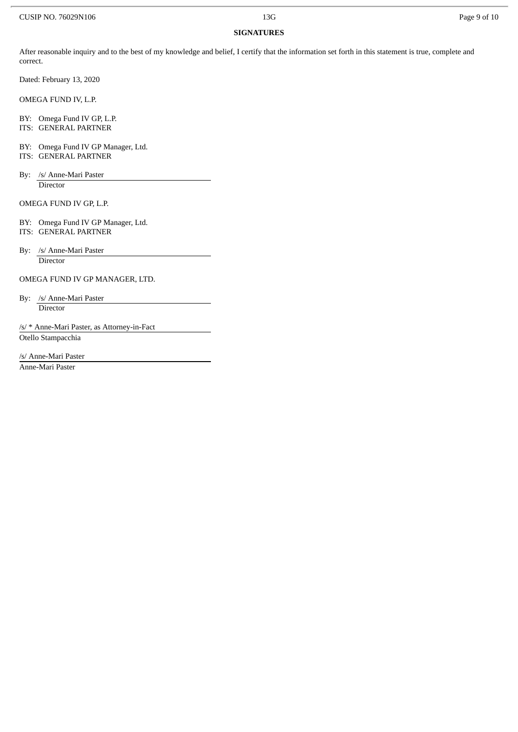#### **SIGNATURES**

After reasonable inquiry and to the best of my knowledge and belief, I certify that the information set forth in this statement is true, complete and correct.

Dated: February 13, 2020

OMEGA FUND IV, L.P.

BY: Omega Fund IV GP, L.P.

ITS: GENERAL PARTNER

- BY: Omega Fund IV GP Manager, Ltd. ITS: GENERAL PARTNER
- By: /s/ Anne-Mari Paster **Director**

OMEGA FUND IV GP, L.P.

- BY: Omega Fund IV GP Manager, Ltd. ITS: GENERAL PARTNER
- By: /s/ Anne-Mari Paster **Director**

OMEGA FUND IV GP MANAGER, LTD.

By: /s/ Anne-Mari Paster **Director** 

/s/ \* Anne-Mari Paster, as Attorney-in-Fact Otello Stampacchia

/s/ Anne-Mari Paster Anne-Mari Paster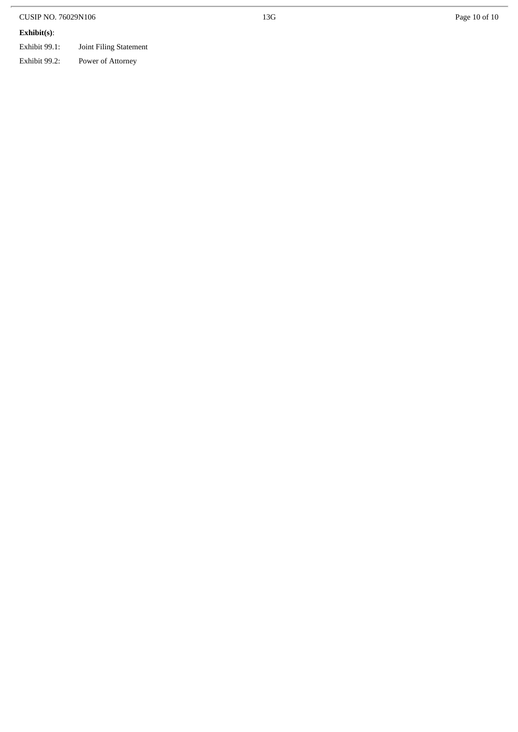| <b>CUSIP NO. 76029N106</b> |                        | 13G | Page 10 of 10 |
|----------------------------|------------------------|-----|---------------|
| Exhibit(s):                |                        |     |               |
| Exhibit 99.1:              | Joint Filing Statement |     |               |
| Exhibit 99.2:              | Power of Attorney      |     |               |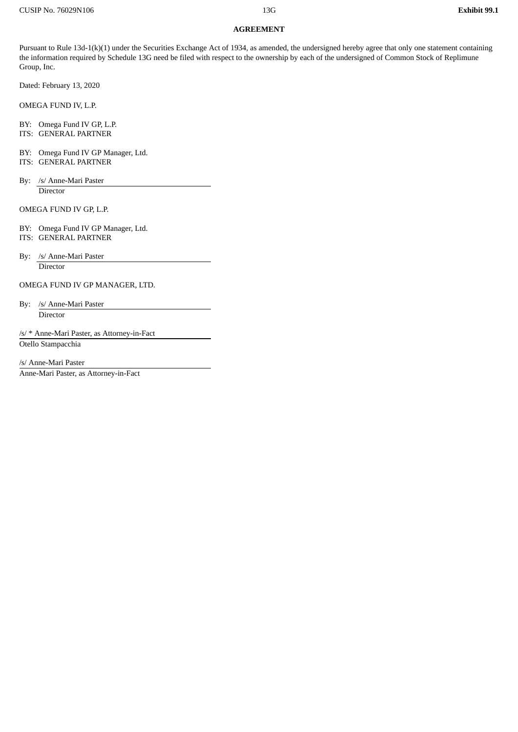#### **AGREEMENT**

Pursuant to Rule 13d-1(k)(1) under the Securities Exchange Act of 1934, as amended, the undersigned hereby agree that only one statement containing the information required by Schedule 13G need be filed with respect to the ownership by each of the undersigned of Common Stock of Replimune Group, Inc.

Dated: February 13, 2020

OMEGA FUND IV, L.P.

BY: Omega Fund IV GP, L.P. ITS: GENERAL PARTNER

BY: Omega Fund IV GP Manager, Ltd.

ITS: GENERAL PARTNER

By: /s/ Anne-Mari Paster **Director** 

OMEGA FUND IV GP, L.P.

BY: Omega Fund IV GP Manager, Ltd.

ITS: GENERAL PARTNER

By: /s/ Anne-Mari Paster **Director** 

OMEGA FUND IV GP MANAGER, LTD.

By: /s/ Anne-Mari Paster Director

/s/ \* Anne-Mari Paster, as Attorney-in-Fact Otello Stampacchia

/s/ Anne-Mari Paster

Anne-Mari Paster, as Attorney-in-Fact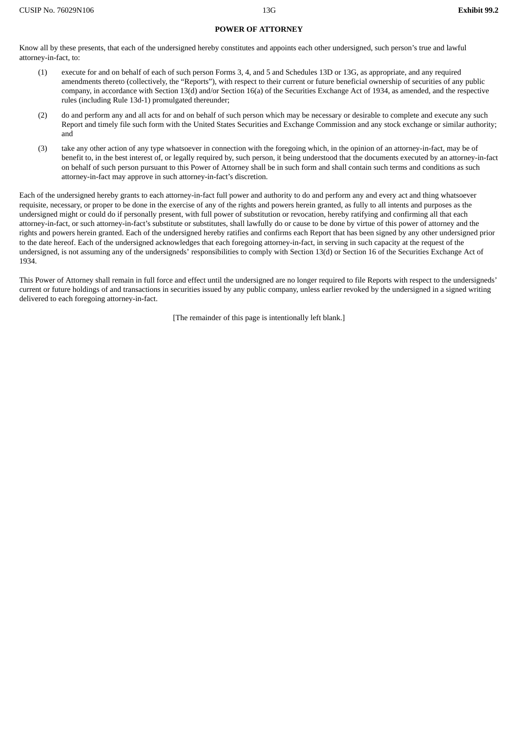#### **POWER OF ATTORNEY**

Know all by these presents, that each of the undersigned hereby constitutes and appoints each other undersigned, such person's true and lawful attorney-in-fact, to:

- (1) execute for and on behalf of each of such person Forms 3, 4, and 5 and Schedules 13D or 13G, as appropriate, and any required amendments thereto (collectively, the "Reports"), with respect to their current or future beneficial ownership of securities of any public company, in accordance with Section 13(d) and/or Section 16(a) of the Securities Exchange Act of 1934, as amended, and the respective rules (including Rule 13d-1) promulgated thereunder;
- (2) do and perform any and all acts for and on behalf of such person which may be necessary or desirable to complete and execute any such Report and timely file such form with the United States Securities and Exchange Commission and any stock exchange or similar authority; and
- (3) take any other action of any type whatsoever in connection with the foregoing which, in the opinion of an attorney-in-fact, may be of benefit to, in the best interest of, or legally required by, such person, it being understood that the documents executed by an attorney-in-fact on behalf of such person pursuant to this Power of Attorney shall be in such form and shall contain such terms and conditions as such attorney-in-fact may approve in such attorney-in-fact's discretion.

Each of the undersigned hereby grants to each attorney-in-fact full power and authority to do and perform any and every act and thing whatsoever requisite, necessary, or proper to be done in the exercise of any of the rights and powers herein granted, as fully to all intents and purposes as the undersigned might or could do if personally present, with full power of substitution or revocation, hereby ratifying and confirming all that each attorney-in-fact, or such attorney-in-fact's substitute or substitutes, shall lawfully do or cause to be done by virtue of this power of attorney and the rights and powers herein granted. Each of the undersigned hereby ratifies and confirms each Report that has been signed by any other undersigned prior to the date hereof. Each of the undersigned acknowledges that each foregoing attorney-in-fact, in serving in such capacity at the request of the undersigned, is not assuming any of the undersigneds' responsibilities to comply with Section 13(d) or Section 16 of the Securities Exchange Act of 1934.

This Power of Attorney shall remain in full force and effect until the undersigned are no longer required to file Reports with respect to the undersigneds' current or future holdings of and transactions in securities issued by any public company, unless earlier revoked by the undersigned in a signed writing delivered to each foregoing attorney-in-fact.

[The remainder of this page is intentionally left blank.]